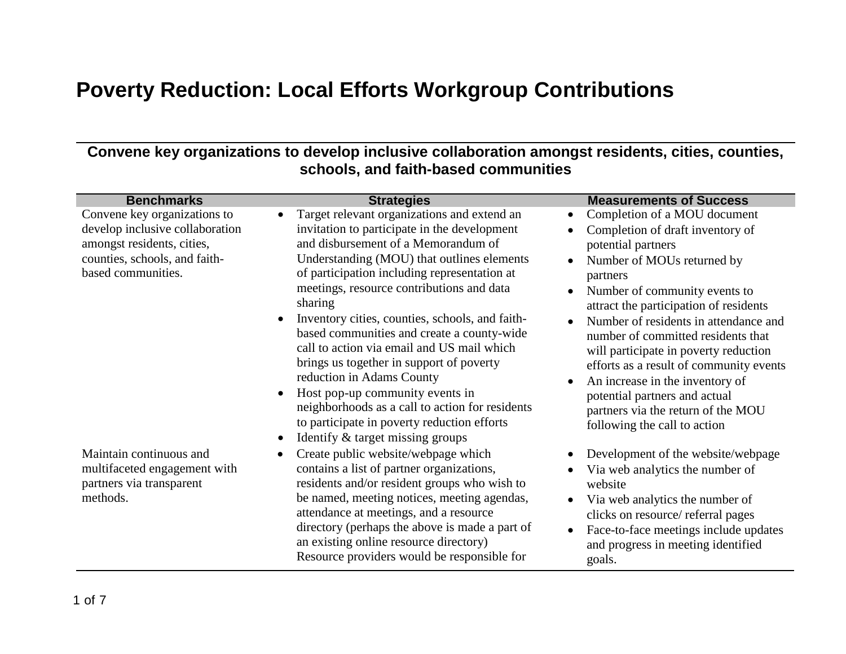## **Poverty Reduction: Local Efforts Workgroup Contributions**

## **Convene key organizations to develop inclusive collaboration amongst residents, cities, counties, schools, and faith-based communities**

| <b>Benchmarks</b>                                                                                                                                    | <b>Strategies</b>                                                                                                                                                                                                                                                                                                                                                                                                                                                                                                                                                                                                                                                                         | <b>Measurements of Success</b>                                                                                                                                                                                                                                                                                                                                                                                                                                                                                                                     |
|------------------------------------------------------------------------------------------------------------------------------------------------------|-------------------------------------------------------------------------------------------------------------------------------------------------------------------------------------------------------------------------------------------------------------------------------------------------------------------------------------------------------------------------------------------------------------------------------------------------------------------------------------------------------------------------------------------------------------------------------------------------------------------------------------------------------------------------------------------|----------------------------------------------------------------------------------------------------------------------------------------------------------------------------------------------------------------------------------------------------------------------------------------------------------------------------------------------------------------------------------------------------------------------------------------------------------------------------------------------------------------------------------------------------|
| Convene key organizations to<br>develop inclusive collaboration<br>amongst residents, cities,<br>counties, schools, and faith-<br>based communities. | Target relevant organizations and extend an<br>invitation to participate in the development<br>and disbursement of a Memorandum of<br>Understanding (MOU) that outlines elements<br>of participation including representation at<br>meetings, resource contributions and data<br>sharing<br>Inventory cities, counties, schools, and faith-<br>based communities and create a county-wide<br>call to action via email and US mail which<br>brings us together in support of poverty<br>reduction in Adams County<br>Host pop-up community events in<br>neighborhoods as a call to action for residents<br>to participate in poverty reduction efforts<br>Identify & target missing groups | Completion of a MOU document<br>$\bullet$<br>Completion of draft inventory of<br>potential partners<br>Number of MOUs returned by<br>partners<br>Number of community events to<br>attract the participation of residents<br>Number of residents in attendance and<br>$\bullet$<br>number of committed residents that<br>will participate in poverty reduction<br>efforts as a result of community events<br>An increase in the inventory of<br>potential partners and actual<br>partners via the return of the MOU<br>following the call to action |
| Maintain continuous and<br>multifaceted engagement with<br>partners via transparent<br>methods.                                                      | Create public website/webpage which<br>contains a list of partner organizations,<br>residents and/or resident groups who wish to<br>be named, meeting notices, meeting agendas,<br>attendance at meetings, and a resource<br>directory (perhaps the above is made a part of<br>an existing online resource directory)<br>Resource providers would be responsible for                                                                                                                                                                                                                                                                                                                      | Development of the website/webpage<br>Via web analytics the number of<br>website<br>Via web analytics the number of<br>clicks on resource/ referral pages<br>Face-to-face meetings include updates<br>$\bullet$<br>and progress in meeting identified<br>goals.                                                                                                                                                                                                                                                                                    |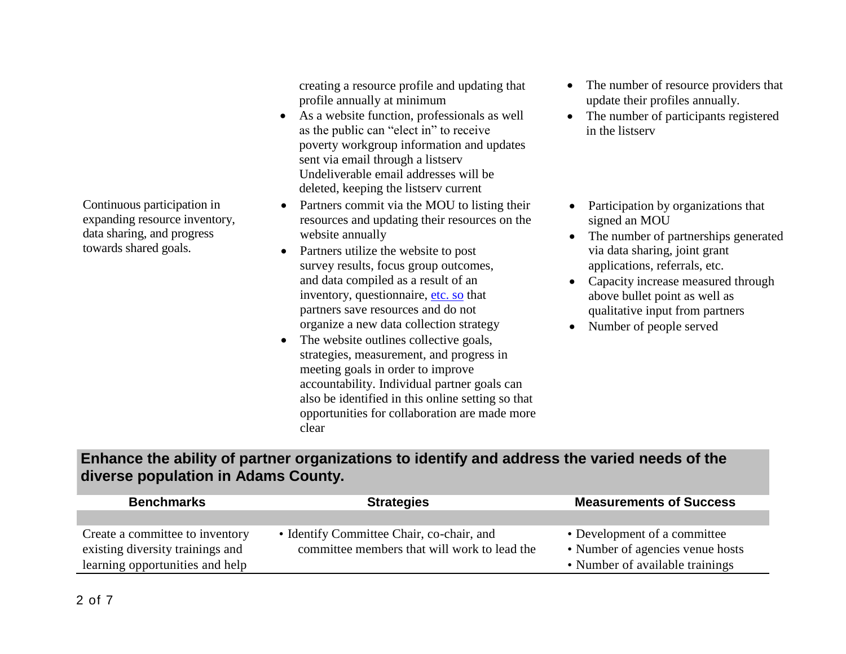Continuous participation in expanding resource inventory, data sharing, and progress towards shared goals.

creating a resource profile and updating that profile annually at minimum

- As a website function, professionals as well as the public can "elect in" to receive poverty workgroup information and updates sent via email through a listserv Undeliverable email addresses will be deleted, keeping the listserv current
- Partners commit via the MOU to listing their resources and updating their resources on the website annually
- Partners utilize the website to post survey results, focus group outcomes, and data compiled as a result of an inventory, questionnaire, [etc. so](http://etc.so/) that partners save resources and do not organize a new data collection strategy
- The website outlines collective goals, strategies, measurement, and progress in meeting goals in order to improve accountability. Individual partner goals can also be identified in this online setting so that opportunities for collaboration are made more clear
- The number of resource providers that update their profiles annually.
- The number of participants registered in the listserv
- Participation by organizations that signed an MOU
- The number of partnerships generated via data sharing, joint grant applications, referrals, etc.
- Capacity increase measured through above bullet point as well as qualitative input from partners
- Number of people served

## **Enhance the ability of partner organizations to identify and address the varied needs of the diverse population in Adams County.**

| <b>Benchmarks</b>                | <b>Strategies</b>                            | <b>Measurements of Success</b>   |
|----------------------------------|----------------------------------------------|----------------------------------|
|                                  |                                              |                                  |
| Create a committee to inventory  | • Identify Committee Chair, co-chair, and    | • Development of a committee     |
| existing diversity trainings and | committee members that will work to lead the | • Number of agencies venue hosts |
| learning opportunities and help  |                                              | • Number of available trainings  |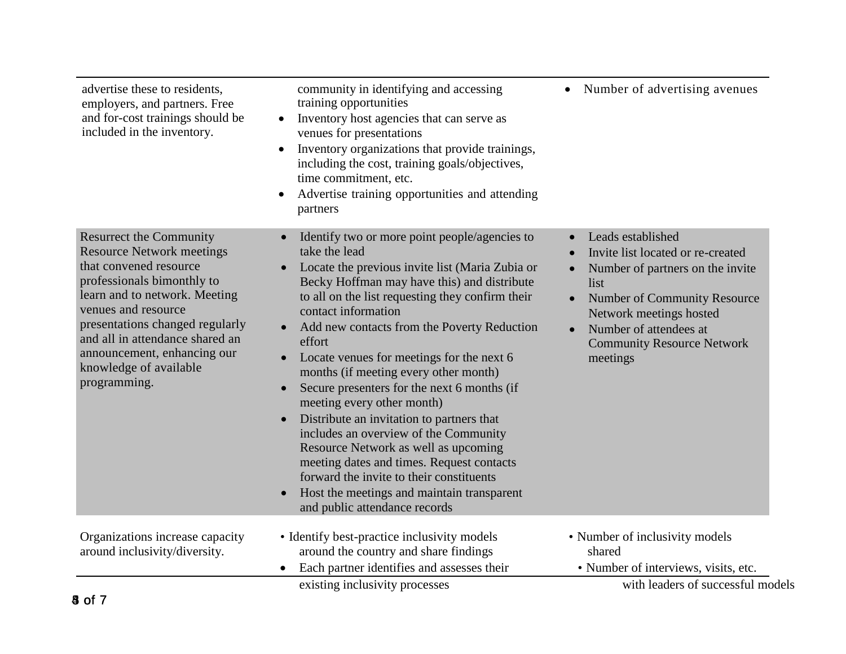| training opportunities<br>Inventory host agencies that can serve as<br>venues for presentations<br>Inventory organizations that provide trainings,<br>including the cost, training goals/objectives,<br>time commitment, etc.<br>Advertise training opportunities and attending<br>partners                                                                                                                                                                                                                                                                                                                                                                                                                                                                                                                                                    |                                                                                                                                                                                                                                                                           |
|------------------------------------------------------------------------------------------------------------------------------------------------------------------------------------------------------------------------------------------------------------------------------------------------------------------------------------------------------------------------------------------------------------------------------------------------------------------------------------------------------------------------------------------------------------------------------------------------------------------------------------------------------------------------------------------------------------------------------------------------------------------------------------------------------------------------------------------------|---------------------------------------------------------------------------------------------------------------------------------------------------------------------------------------------------------------------------------------------------------------------------|
| Identify two or more point people/agencies to<br>$\bullet$<br>take the lead<br>Locate the previous invite list (Maria Zubia or<br>Becky Hoffman may have this) and distribute<br>to all on the list requesting they confirm their<br>contact information<br>Add new contacts from the Poverty Reduction<br>$\bullet$<br>effort<br>Locate venues for meetings for the next 6<br>months (if meeting every other month)<br>Secure presenters for the next 6 months (if<br>$\bullet$<br>meeting every other month)<br>Distribute an invitation to partners that<br>$\bullet$<br>includes an overview of the Community<br>Resource Network as well as upcoming<br>meeting dates and times. Request contacts<br>forward the invite to their constituents<br>Host the meetings and maintain transparent<br>$\bullet$<br>and public attendance records | Leads established<br>Invite list located or re-created<br>Number of partners on the invite<br>list<br><b>Number of Community Resource</b><br>$\bullet$<br>Network meetings hosted<br>Number of attendees at<br>$\bullet$<br><b>Community Resource Network</b><br>meetings |
| • Identify best-practice inclusivity models<br>around the country and share findings<br>Each partner identifies and assesses their                                                                                                                                                                                                                                                                                                                                                                                                                                                                                                                                                                                                                                                                                                             | • Number of inclusivity models<br>shared<br>• Number of interviews, visits, etc.<br>with leaders of successful models                                                                                                                                                     |
|                                                                                                                                                                                                                                                                                                                                                                                                                                                                                                                                                                                                                                                                                                                                                                                                                                                | existing inclusivity processes                                                                                                                                                                                                                                            |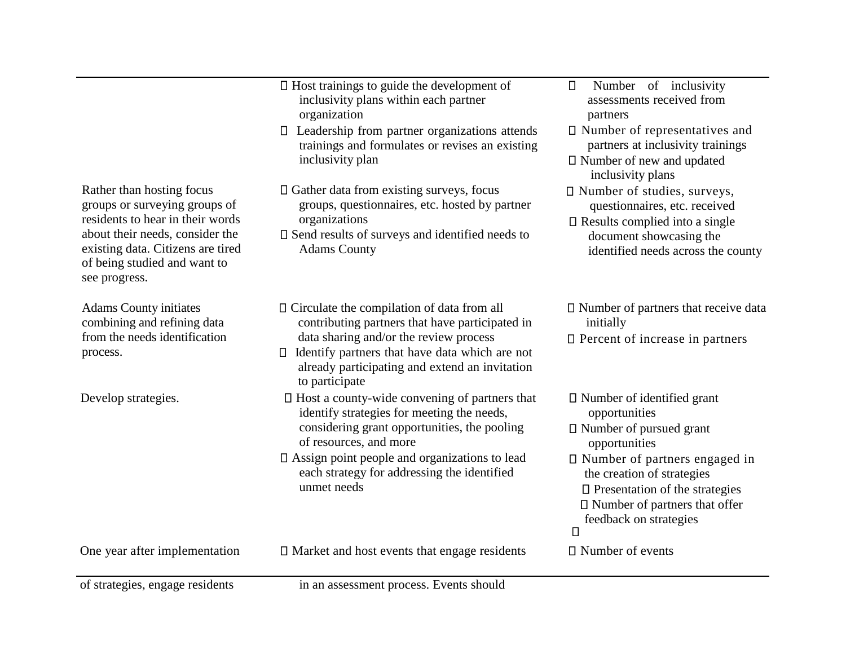|                                                                                                                       | $\square$ Host trainings to guide the development of<br>inclusivity plans within each partner<br>organization                                                          | Number of inclusivity<br>$\Box$<br>assessments received from<br>partners                                                                                                              |
|-----------------------------------------------------------------------------------------------------------------------|------------------------------------------------------------------------------------------------------------------------------------------------------------------------|---------------------------------------------------------------------------------------------------------------------------------------------------------------------------------------|
|                                                                                                                       | $\Box$ Leadership from partner organizations attends<br>trainings and formulates or revises an existing<br>inclusivity plan                                            | $\square$ Number of representatives and<br>partners at inclusivity trainings<br>□ Number of new and updated<br>inclusivity plans                                                      |
| Rather than hosting focus<br>groups or surveying groups of<br>residents to hear in their words                        | $\Box$ Gather data from existing surveys, focus<br>groups, questionnaires, etc. hosted by partner<br>organizations                                                     | □ Number of studies, surveys,<br>questionnaires, etc. received<br>$\square$ Results complied into a single                                                                            |
| about their needs, consider the<br>existing data. Citizens are tired<br>of being studied and want to<br>see progress. | $\square$ Send results of surveys and identified needs to<br><b>Adams County</b>                                                                                       | document showcasing the<br>identified needs across the county                                                                                                                         |
| <b>Adams County initiates</b><br>combining and refining data                                                          | $\Box$ Circulate the compilation of data from all<br>contributing partners that have participated in                                                                   | $\square$ Number of partners that receive data<br>initially                                                                                                                           |
| from the needs identification<br>process.                                                                             | data sharing and/or the review process<br>Identify partners that have data which are not<br>$\Box$<br>already participating and extend an invitation<br>to participate | $\square$ Percent of increase in partners                                                                                                                                             |
| Develop strategies.                                                                                                   | $\Box$ Host a county-wide convening of partners that<br>identify strategies for meeting the needs,                                                                     | $\square$ Number of identified grant<br>opportunities                                                                                                                                 |
|                                                                                                                       | considering grant opportunities, the pooling<br>of resources, and more                                                                                                 | $\Box$ Number of pursued grant<br>opportunities                                                                                                                                       |
|                                                                                                                       | $\square$ Assign point people and organizations to lead<br>each strategy for addressing the identified<br>unmet needs                                                  | $\Box$ Number of partners engaged in<br>the creation of strategies<br>$\square$ Presentation of the strategies<br>□ Number of partners that offer<br>feedback on strategies<br>$\Box$ |
| One year after implementation                                                                                         | $\Box$ Market and host events that engage residents                                                                                                                    | $\Box$ Number of events                                                                                                                                                               |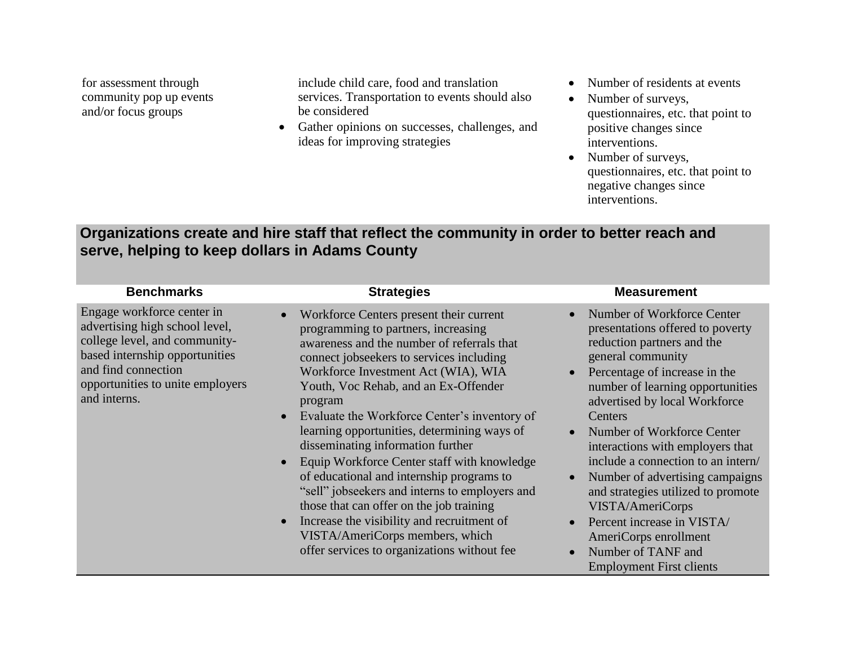for assessment through community pop up events and/or focus groups

include child care, food and translation services. Transportation to events should also be considered

- Gather opinions on successes, challenges, and ideas for improving strategies
- Number of residents at events
- Number of surveys, questionnaires, etc. that point to positive changes since interventions.
- Number of surveys, questionnaires, etc. that point to negative changes since interventions.

## **Organizations create and hire staff that reflect the community in order to better reach and serve, helping to keep dollars in Adams County**

| <b>Benchmarks</b>                                                                                                                                                                                          | <b>Strategies</b>                                                                                                                                                                                                                                                                                                                                                                                                                                                                                                                                                                                                                                                                                                                             | <b>Measurement</b>                                                                                                                                                                                                                                                                                                                                                                                                                                                                                                                                                                |
|------------------------------------------------------------------------------------------------------------------------------------------------------------------------------------------------------------|-----------------------------------------------------------------------------------------------------------------------------------------------------------------------------------------------------------------------------------------------------------------------------------------------------------------------------------------------------------------------------------------------------------------------------------------------------------------------------------------------------------------------------------------------------------------------------------------------------------------------------------------------------------------------------------------------------------------------------------------------|-----------------------------------------------------------------------------------------------------------------------------------------------------------------------------------------------------------------------------------------------------------------------------------------------------------------------------------------------------------------------------------------------------------------------------------------------------------------------------------------------------------------------------------------------------------------------------------|
| Engage workforce center in<br>advertising high school level,<br>college level, and community-<br>based internship opportunities<br>and find connection<br>opportunities to unite employers<br>and interns. | Workforce Centers present their current<br>programming to partners, increasing<br>awareness and the number of referrals that<br>connect jobseekers to services including<br>Workforce Investment Act (WIA), WIA<br>Youth, Voc Rehab, and an Ex-Offender<br>program<br>Evaluate the Workforce Center's inventory of<br>$\bullet$<br>learning opportunities, determining ways of<br>disseminating information further<br>Equip Workforce Center staff with knowledge<br>of educational and internship programs to<br>"sell" jobseekers and interns to employers and<br>those that can offer on the job training<br>Increase the visibility and recruitment of<br>VISTA/AmeriCorps members, which<br>offer services to organizations without fee | Number of Workforce Center<br>$\bullet$<br>presentations offered to poverty<br>reduction partners and the<br>general community<br>Percentage of increase in the<br>$\bullet$<br>number of learning opportunities<br>advertised by local Workforce<br>Centers<br>Number of Workforce Center<br>interactions with employers that<br>include a connection to an intern/<br>Number of advertising campaigns<br>and strategies utilized to promote<br>VISTA/AmeriCorps<br>Percent increase in VISTA/<br>AmeriCorps enrollment<br>Number of TANF and<br><b>Employment First clients</b> |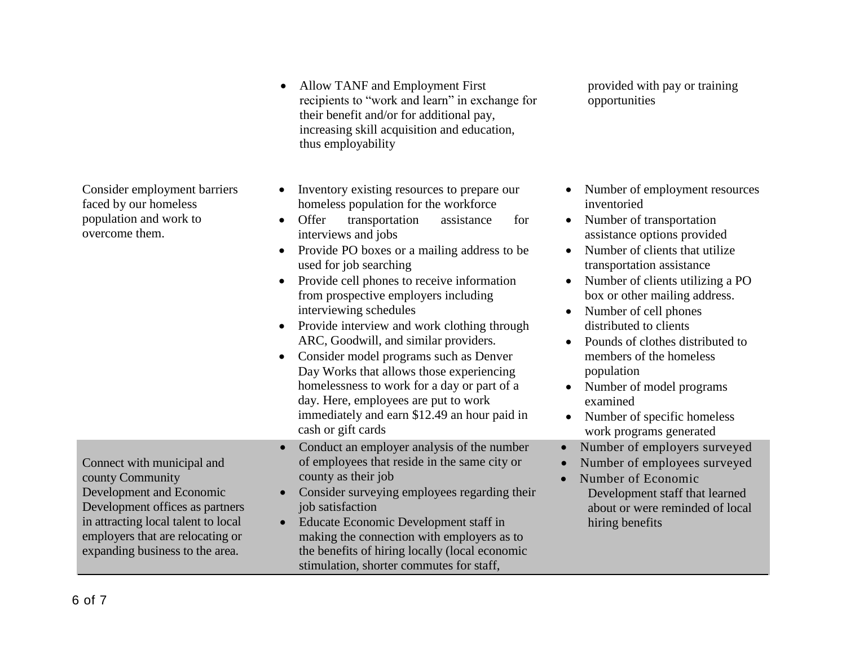Consider employment barriers faced by our homeless population and work to overcome them. • Inventory existing resources to prepare our homeless population for the workforce Offer transportation assistance for interviews and jobs • Provide PO boxes or a mailing address to be used for job searching • Provide cell phones to receive information from prospective employers including interviewing schedules • Provide interview and work clothing through ARC, Goodwill, and similar providers. • Consider model programs such as Denver Day Works that allows those experiencing homelessness to work for a day or part of a day. Here, employees are put to work immediately and earn \$12.49 an hour paid in cash or gift cards • Number of employment resources inventoried • Number of transportation assistance options provided • Number of clients that utilize transportation assistance • Number of clients utilizing a PO box or other mailing address. • Number of cell phones distributed to clients • Pounds of clothes distributed to members of the homeless population • Number of model programs examined • Number of specific homeless work programs generated Connect with municipal and county Community Development and Economic Development offices as partners in attracting local talent to local employers that are relocating or expanding business to the area. Conduct an employer analysis of the number of employees that reside in the same city or county as their job • Consider surveying employees regarding their job satisfaction • Educate Economic Development staff in making the connection with employers as to the benefits of hiring locally (local economic Number of employers surveyed Number of employees surveyed • Number of Economic Development staff that learned about or were reminded of local hiring benefits

stimulation, shorter commutes for staff,

• Allow TANF and Employment First recipients to "work and learn" in exchange for their benefit and/or for additional pay, increasing skill acquisition and education, thus employability

provided with pay or training

opportunities